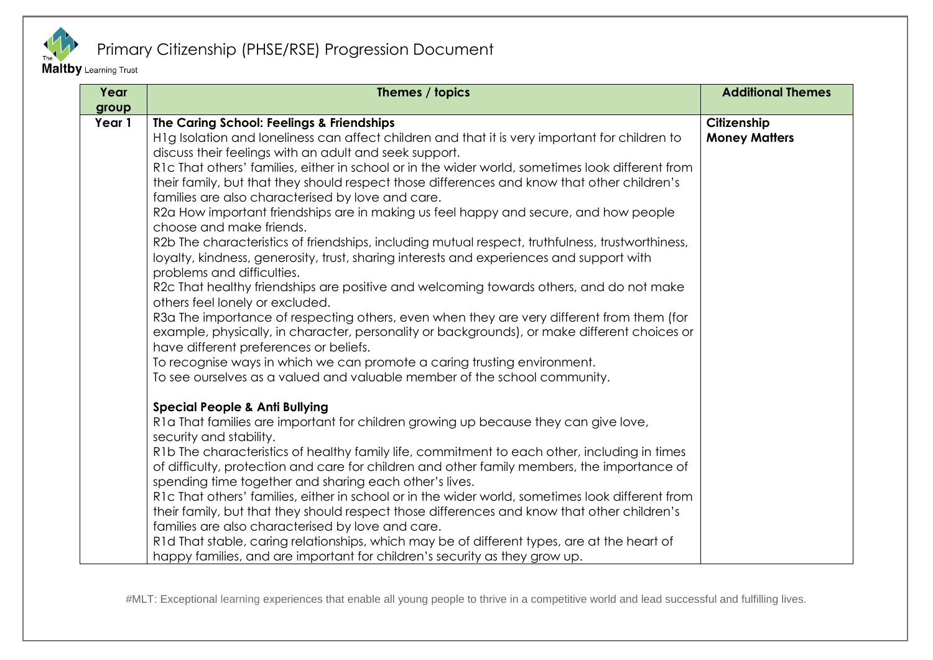

Maltby Learning Trust

| Year            | Themes / topics                                                                                                                                                                                                                     | <b>Additional Themes</b> |
|-----------------|-------------------------------------------------------------------------------------------------------------------------------------------------------------------------------------------------------------------------------------|--------------------------|
| group<br>Year 1 | The Caring School: Feelings & Friendships                                                                                                                                                                                           | Citizenship              |
|                 | H1g Isolation and loneliness can affect children and that it is very important for children to                                                                                                                                      | <b>Money Matters</b>     |
|                 | discuss their feelings with an adult and seek support.                                                                                                                                                                              |                          |
|                 | R1c That others' families, either in school or in the wider world, sometimes look different from                                                                                                                                    |                          |
|                 | their family, but that they should respect those differences and know that other children's                                                                                                                                         |                          |
|                 | families are also characterised by love and care.                                                                                                                                                                                   |                          |
|                 | R2a How important friendships are in making us feel happy and secure, and how people<br>choose and make friends.                                                                                                                    |                          |
|                 | R2b The characteristics of friendships, including mutual respect, truthfulness, trustworthiness,<br>loyalty, kindness, generosity, trust, sharing interests and experiences and support with                                        |                          |
|                 | problems and difficulties.                                                                                                                                                                                                          |                          |
|                 | R2c That healthy friendships are positive and welcoming towards others, and do not make<br>others feel lonely or excluded.                                                                                                          |                          |
|                 | R3a The importance of respecting others, even when they are very different from them (for<br>example, physically, in character, personality or backgrounds), or make different choices or<br>have different preferences or beliefs. |                          |
|                 | To recognise ways in which we can promote a caring trusting environment.                                                                                                                                                            |                          |
|                 | To see ourselves as a valued and valuable member of the school community.                                                                                                                                                           |                          |
|                 | <b>Special People &amp; Anti Bullying</b>                                                                                                                                                                                           |                          |
|                 | R1a That families are important for children growing up because they can give love,                                                                                                                                                 |                          |
|                 | security and stability.                                                                                                                                                                                                             |                          |
|                 | R1b The characteristics of healthy family life, commitment to each other, including in times                                                                                                                                        |                          |
|                 | of difficulty, protection and care for children and other family members, the importance of                                                                                                                                         |                          |
|                 | spending time together and sharing each other's lives.                                                                                                                                                                              |                          |
|                 | R1c That others' families, either in school or in the wider world, sometimes look different from                                                                                                                                    |                          |
|                 | their family, but that they should respect those differences and know that other children's                                                                                                                                         |                          |
|                 | families are also characterised by love and care.<br>R1d That stable, caring relationships, which may be of different types, are at the heart of                                                                                    |                          |
|                 | happy families, and are important for children's security as they grow up.                                                                                                                                                          |                          |
|                 |                                                                                                                                                                                                                                     |                          |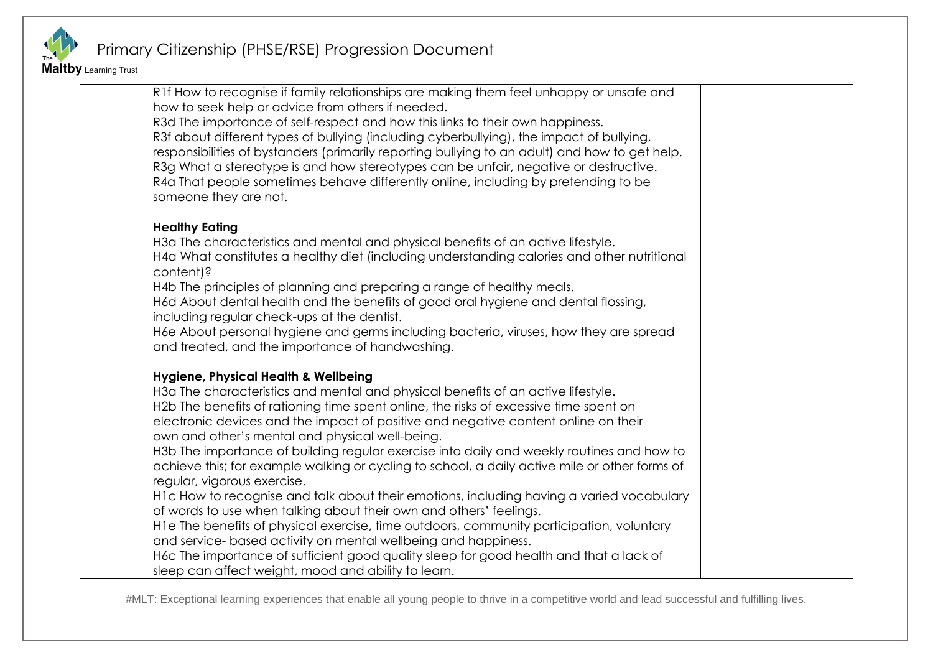

Maltby Learning Trust

| someone they are not.                                                                                                                                                                        |  |
|----------------------------------------------------------------------------------------------------------------------------------------------------------------------------------------------|--|
| <b>Healthy Eating</b>                                                                                                                                                                        |  |
| H3a The characteristics and mental and physical benefits of an active lifestyle.<br>H4a What constitutes a healthy diet (including understanding calories and other nutritional<br>content)? |  |
| H4b The principles of planning and preparing a range of healthy meals.                                                                                                                       |  |
| H6d About dental health and the benefits of good oral hygiene and dental flossing,                                                                                                           |  |
| including regular check-ups at the dentist.                                                                                                                                                  |  |
| H6e About personal hygiene and germs including bacteria, viruses, how they are spread<br>and treated, and the importance of handwashing.                                                     |  |
| Hygiene, Physical Health & Wellbeing                                                                                                                                                         |  |
| H3a The characteristics and mental and physical benefits of an active lifestyle.                                                                                                             |  |
| H2b The benefits of rationing time spent online, the risks of excessive time spent on                                                                                                        |  |
| electronic devices and the impact of positive and negative content online on their                                                                                                           |  |
| own and other's mental and physical well-being.<br>H3b The importance of building regular exercise into daily and weekly routines and how to                                                 |  |
| achieve this; for example walking or cycling to school, a daily active mile or other forms of                                                                                                |  |
| regular, vigorous exercise.                                                                                                                                                                  |  |
| H1c How to recognise and talk about their emotions, including having a varied vocabulary                                                                                                     |  |
| of words to use when talking about their own and others' feelings.                                                                                                                           |  |
| H le The benefits of physical exercise, time outdoors, community participation, voluntary                                                                                                    |  |
| and service- based activity on mental wellbeing and happiness.<br>H6c The importance of sufficient good quality sleep for good health and that a lack of                                     |  |
| sleep can affect weight, mood and ability to learn.                                                                                                                                          |  |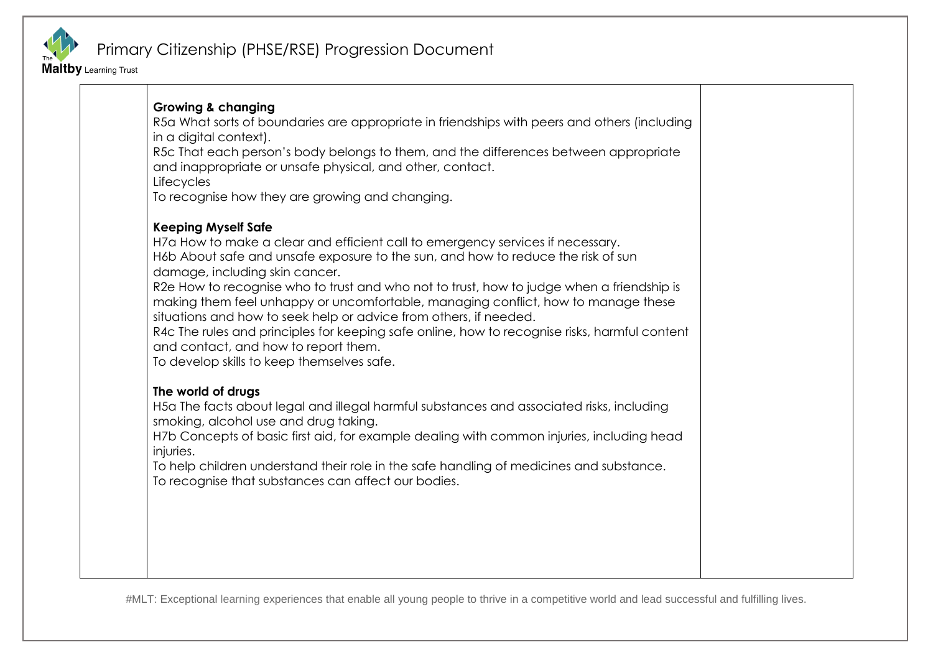

Maltby Learning Trust

| <b>Growing &amp; changing</b><br>R5a What sorts of boundaries are appropriate in friendships with peers and others (including<br>in a digital context).<br>R5c That each person's body belongs to them, and the differences between appropriate<br>and inappropriate or unsafe physical, and other, contact.<br>Lifecycles<br>To recognise how they are growing and changing.                                                                                                                                                                                                                                                                                                    |  |
|----------------------------------------------------------------------------------------------------------------------------------------------------------------------------------------------------------------------------------------------------------------------------------------------------------------------------------------------------------------------------------------------------------------------------------------------------------------------------------------------------------------------------------------------------------------------------------------------------------------------------------------------------------------------------------|--|
| <b>Keeping Myself Safe</b><br>H7a How to make a clear and efficient call to emergency services if necessary.<br>H6b About safe and unsafe exposure to the sun, and how to reduce the risk of sun<br>damage, including skin cancer.<br>R2e How to recognise who to trust and who not to trust, how to judge when a friendship is<br>making them feel unhappy or uncomfortable, managing conflict, how to manage these<br>situations and how to seek help or advice from others, if needed.<br>R4c The rules and principles for keeping safe online, how to recognise risks, harmful content<br>and contact, and how to report them.<br>To develop skills to keep themselves safe. |  |
| The world of drugs<br>H5a The facts about legal and illegal harmful substances and associated risks, including<br>smoking, alcohol use and drug taking.<br>H7b Concepts of basic first aid, for example dealing with common injuries, including head<br>injuries.<br>To help children understand their role in the safe handling of medicines and substance.<br>To recognise that substances can affect our bodies.                                                                                                                                                                                                                                                              |  |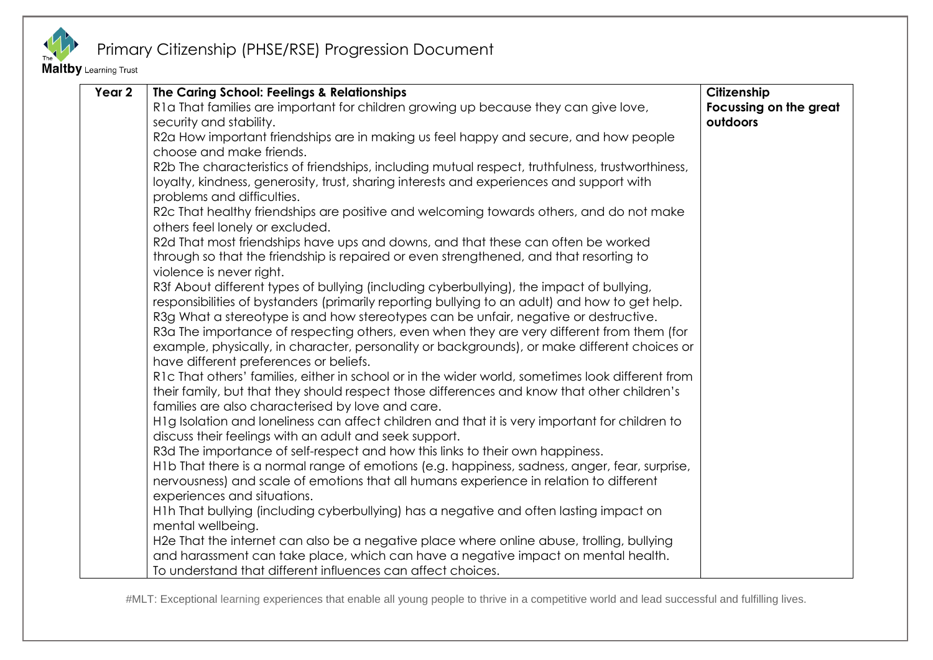

Maltby Learning Trust

| Year 2 | The Caring School: Feelings & Relationships                                                      | Citizenship            |
|--------|--------------------------------------------------------------------------------------------------|------------------------|
|        | R1a That families are important for children growing up because they can give love,              | Focussing on the great |
|        | security and stability.                                                                          | outdoors               |
|        | R2a How important friendships are in making us feel happy and secure, and how people             |                        |
|        | choose and make friends.                                                                         |                        |
|        | R2b The characteristics of friendships, including mutual respect, truthfulness, trustworthiness, |                        |
|        | loyalty, kindness, generosity, trust, sharing interests and experiences and support with         |                        |
|        | problems and difficulties.                                                                       |                        |
|        | R2c That healthy friendships are positive and welcoming towards others, and do not make          |                        |
|        | others feel lonely or excluded.                                                                  |                        |
|        | R2d That most friendships have ups and downs, and that these can often be worked                 |                        |
|        | through so that the friendship is repaired or even strengthened, and that resorting to           |                        |
|        | violence is never right.                                                                         |                        |
|        | R3f About different types of bullying (including cyberbullying), the impact of bullying,         |                        |
|        | responsibilities of bystanders (primarily reporting bullying to an adult) and how to get help.   |                        |
|        | R3g What a stereotype is and how stereotypes can be unfair, negative or destructive.             |                        |
|        | R3a The importance of respecting others, even when they are very different from them (for        |                        |
|        | example, physically, in character, personality or backgrounds), or make different choices or     |                        |
|        | have different preferences or beliefs.                                                           |                        |
|        | R1c That others' families, either in school or in the wider world, sometimes look different from |                        |
|        | their family, but that they should respect those differences and know that other children's      |                        |
|        | families are also characterised by love and care.                                                |                        |
|        | H1g Isolation and loneliness can affect children and that it is very important for children to   |                        |
|        | discuss their feelings with an adult and seek support.                                           |                        |
|        | R3d The importance of self-respect and how this links to their own happiness.                    |                        |
|        | H1b That there is a normal range of emotions (e.g. happiness, sadness, anger, fear, surprise,    |                        |
|        | nervousness) and scale of emotions that all humans experience in relation to different           |                        |
|        | experiences and situations.                                                                      |                        |
|        | H1h That bullying (including cyberbullying) has a negative and often lasting impact on           |                        |
|        | mental wellbeing.                                                                                |                        |
|        | H2e That the internet can also be a negative place where online abuse, trolling, bullying        |                        |
|        | and harassment can take place, which can have a negative impact on mental health.                |                        |
|        | To understand that different influences can affect choices.                                      |                        |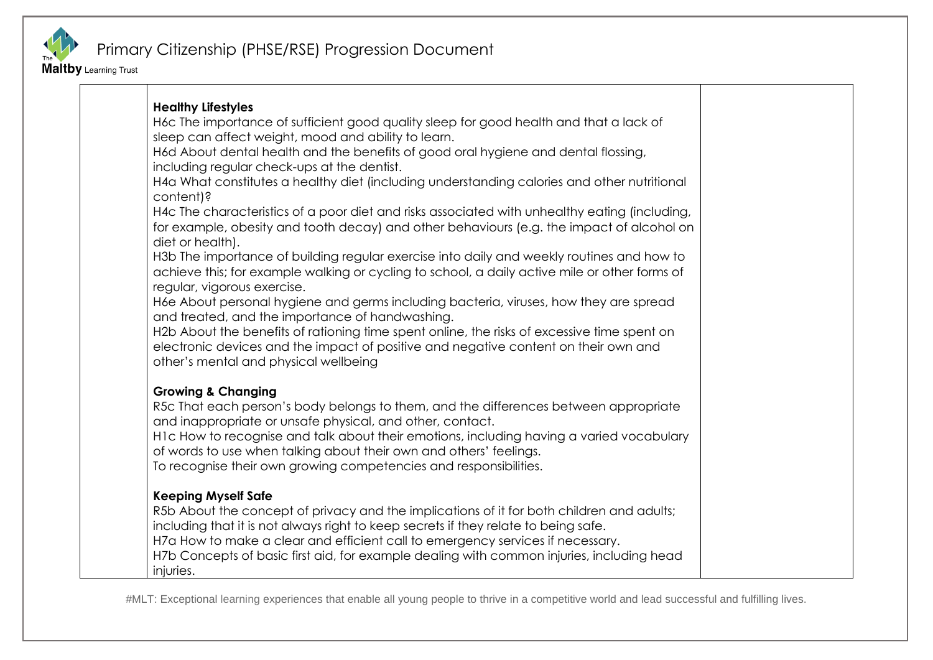

Maltby Learning Trust

| <b>Healthy Lifestyles</b>                                                                                     |
|---------------------------------------------------------------------------------------------------------------|
| H6c The importance of sufficient good quality sleep for good health and that a lack of                        |
| sleep can affect weight, mood and ability to learn.                                                           |
| H6d About dental health and the benefits of good oral hygiene and dental flossing,                            |
| including regular check-ups at the dentist.                                                                   |
| H4a What constitutes a healthy diet (including understanding calories and other nutritional                   |
| content)?                                                                                                     |
| H4c The characteristics of a poor diet and risks associated with unhealthy eating (including,                 |
| for example, obesity and tooth decay) and other behaviours (e.g. the impact of alcohol on<br>diet or health). |
| H3b The importance of building regular exercise into daily and weekly routines and how to                     |
| achieve this; for example walking or cycling to school, a daily active mile or other forms of                 |
| regular, vigorous exercise.                                                                                   |
| H6e About personal hygiene and germs including bacteria, viruses, how they are spread                         |
| and treated, and the importance of handwashing.                                                               |
| H2b About the benefits of rationing time spent online, the risks of excessive time spent on                   |
| electronic devices and the impact of positive and negative content on their own and                           |
| other's mental and physical wellbeing                                                                         |
|                                                                                                               |
| <b>Growing &amp; Changing</b>                                                                                 |
| R5c That each person's body belongs to them, and the differences between appropriate                          |
| and inappropriate or unsafe physical, and other, contact.                                                     |
| H1c How to recognise and talk about their emotions, including having a varied vocabulary                      |
| of words to use when talking about their own and others' feelings.                                            |
| To recognise their own growing competencies and responsibilities.                                             |
| <b>Keeping Myself Safe</b>                                                                                    |
| R5b About the concept of privacy and the implications of it for both children and adults;                     |
| including that it is not always right to keep secrets if they relate to being safe.                           |
| H7a How to make a clear and efficient call to emergency services if necessary.                                |
| H7b Concepts of basic first aid, for example dealing with common injuries, including head                     |
| injuries.                                                                                                     |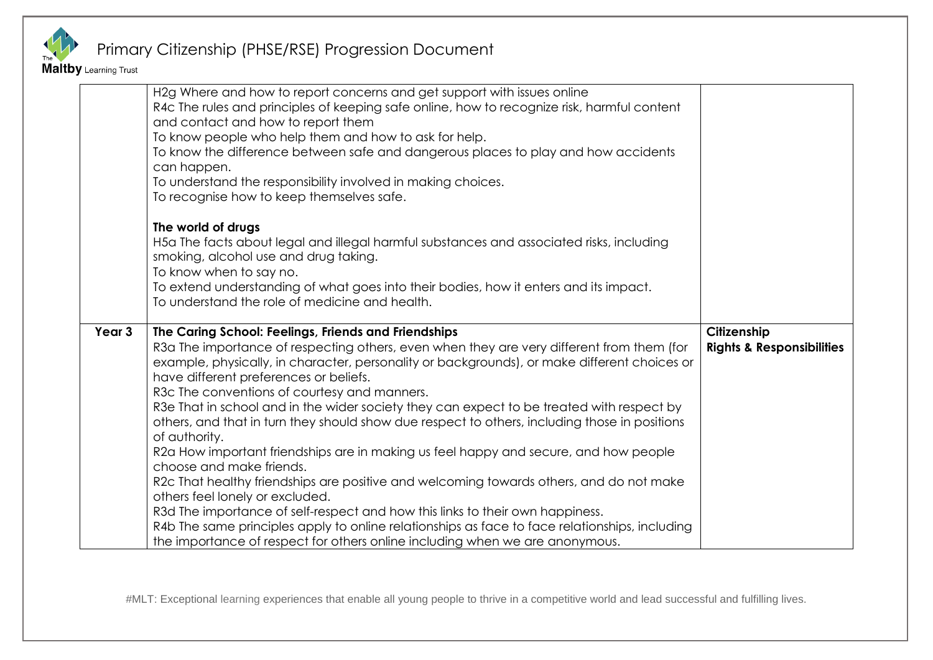

Maltby Learning Trust

|        | H2g Where and how to report concerns and get support with issues online<br>R4c The rules and principles of keeping safe online, how to recognize risk, harmful content<br>and contact and how to report them<br>To know people who help them and how to ask for help.<br>To know the difference between safe and dangerous places to play and how accidents<br>can happen.<br>To understand the responsibility involved in making choices.<br>To recognise how to keep themselves safe.                                                                                                                                                                                                                                                                                                                                                                                                                                                                                                         |                                                     |
|--------|-------------------------------------------------------------------------------------------------------------------------------------------------------------------------------------------------------------------------------------------------------------------------------------------------------------------------------------------------------------------------------------------------------------------------------------------------------------------------------------------------------------------------------------------------------------------------------------------------------------------------------------------------------------------------------------------------------------------------------------------------------------------------------------------------------------------------------------------------------------------------------------------------------------------------------------------------------------------------------------------------|-----------------------------------------------------|
|        | The world of drugs<br>H5a The facts about legal and illegal harmful substances and associated risks, including<br>smoking, alcohol use and drug taking.<br>To know when to say no.<br>To extend understanding of what goes into their bodies, how it enters and its impact.<br>To understand the role of medicine and health.                                                                                                                                                                                                                                                                                                                                                                                                                                                                                                                                                                                                                                                                   |                                                     |
| Year 3 | The Caring School: Feelings, Friends and Friendships<br>R3a The importance of respecting others, even when they are very different from them (for<br>example, physically, in character, personality or backgrounds), or make different choices or<br>have different preferences or beliefs.<br>R3c The conventions of courtesy and manners.<br>R3e That in school and in the wider society they can expect to be treated with respect by<br>others, and that in turn they should show due respect to others, including those in positions<br>of authority.<br>R2a How important friendships are in making us feel happy and secure, and how people<br>choose and make friends.<br>R2c That healthy friendships are positive and welcoming towards others, and do not make<br>others feel lonely or excluded.<br>R3d The importance of self-respect and how this links to their own happiness.<br>R4b The same principles apply to online relationships as face to face relationships, including | Citizenship<br><b>Rights &amp; Responsibilities</b> |
|        | the importance of respect for others online including when we are anonymous.                                                                                                                                                                                                                                                                                                                                                                                                                                                                                                                                                                                                                                                                                                                                                                                                                                                                                                                    |                                                     |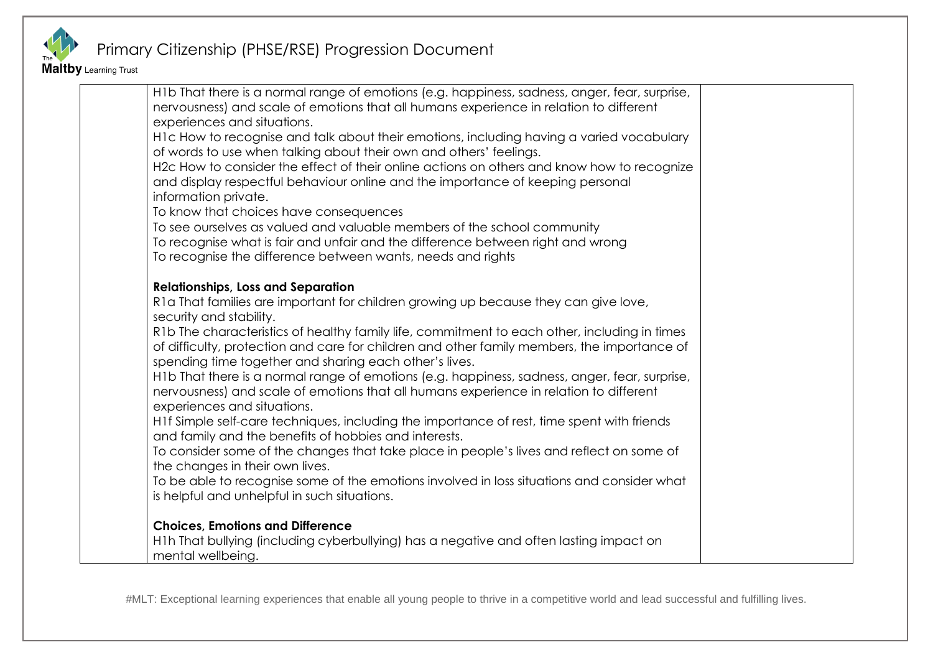

Maltby Learning Trust

| H1b That there is a normal range of emotions (e.g. happiness, sadness, anger, fear, surprise, |  |
|-----------------------------------------------------------------------------------------------|--|
| nervousness) and scale of emotions that all humans experience in relation to different        |  |
| experiences and situations.                                                                   |  |
| H1c How to recognise and talk about their emotions, including having a varied vocabulary      |  |
| of words to use when talking about their own and others' feelings.                            |  |
| H2c How to consider the effect of their online actions on others and know how to recognize    |  |
| and display respectful behaviour online and the importance of keeping personal                |  |
| information private.                                                                          |  |
| To know that choices have consequences                                                        |  |
| To see ourselves as valued and valuable members of the school community                       |  |
| To recognise what is fair and unfair and the difference between right and wrong               |  |
| To recognise the difference between wants, needs and rights                                   |  |
|                                                                                               |  |
| <b>Relationships, Loss and Separation</b>                                                     |  |
| R1a That families are important for children growing up because they can give love,           |  |
| security and stability.                                                                       |  |
| R1b The characteristics of healthy family life, commitment to each other, including in times  |  |
| of difficulty, protection and care for children and other family members, the importance of   |  |
| spending time together and sharing each other's lives.                                        |  |
| H1b That there is a normal range of emotions (e.g. happiness, sadness, anger, fear, surprise, |  |
| nervousness) and scale of emotions that all humans experience in relation to different        |  |
| experiences and situations.                                                                   |  |
| H1f Simple self-care techniques, including the importance of rest, time spent with friends    |  |
| and family and the benefits of hobbies and interests.                                         |  |
| To consider some of the changes that take place in people's lives and reflect on some of      |  |
| the changes in their own lives.                                                               |  |
| To be able to recognise some of the emotions involved in loss situations and consider what    |  |
| is helpful and unhelpful in such situations.                                                  |  |
|                                                                                               |  |
| <b>Choices, Emotions and Difference</b>                                                       |  |
| H1h That bullying (including cyberbullying) has a negative and often lasting impact on        |  |
| mental wellbeing.                                                                             |  |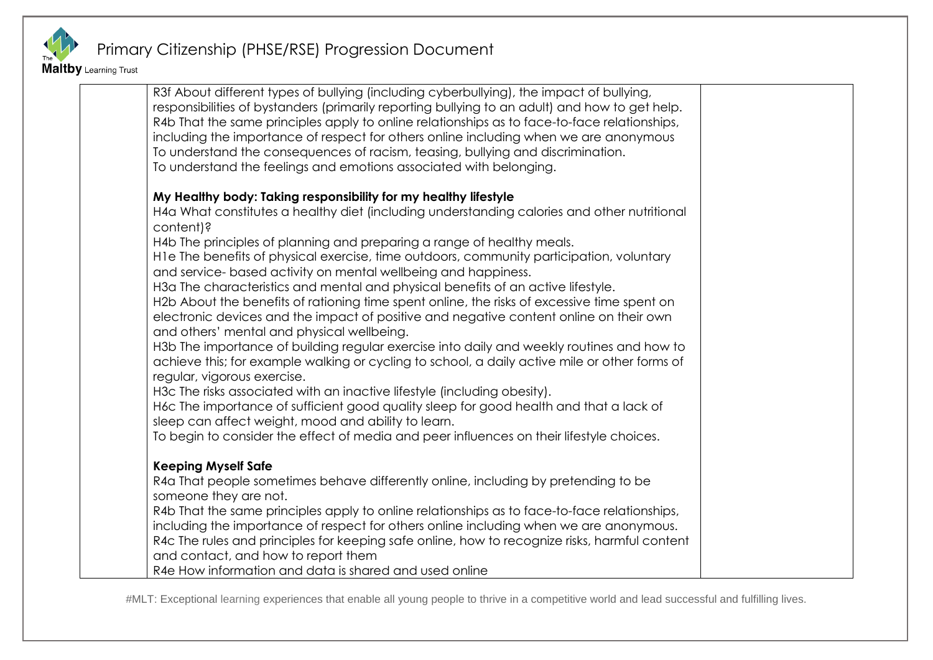

Maltby Learning Trust

R3f About different types of bullying (including cyberbullying), the impact of bullying, responsibilities of bystanders (primarily reporting bullying to an adult) and how to get help. R4b That the same principles apply to online relationships as to face-to-face relationships, including the importance of respect for others online including when we are anonymous To understand the consequences of racism, teasing, bullying and discrimination. To understand the feelings and emotions associated with belonging. **My Healthy body: Taking responsibility for my healthy lifestyle** H4a What constitutes a healthy diet (including understanding calories and other nutritional content)? H4b The principles of planning and preparing a range of healthy meals. H1e The benefits of physical exercise, time outdoors, community participation, voluntary and service- based activity on mental wellbeing and happiness. H3a The characteristics and mental and physical benefits of an active lifestyle. H2b About the benefits of rationing time spent online, the risks of excessive time spent on electronic devices and the impact of positive and negative content online on their own and others' mental and physical wellbeing. H3b The importance of building regular exercise into daily and weekly routines and how to achieve this; for example walking or cycling to school, a daily active mile or other forms of regular, vigorous exercise. H3c The risks associated with an inactive lifestyle (including obesity). H6c The importance of sufficient good quality sleep for good health and that a lack of sleep can affect weight, mood and ability to learn. To begin to consider the effect of media and peer influences on their lifestyle choices. **Keeping Myself Safe** R4a That people sometimes behave differently online, including by pretending to be someone they are not. R4b That the same principles apply to online relationships as to face-to-face relationships, including the importance of respect for others online including when we are anonymous. R4c The rules and principles for keeping safe online, how to recognize risks, harmful content and contact, and how to report them R4e How information and data is shared and used online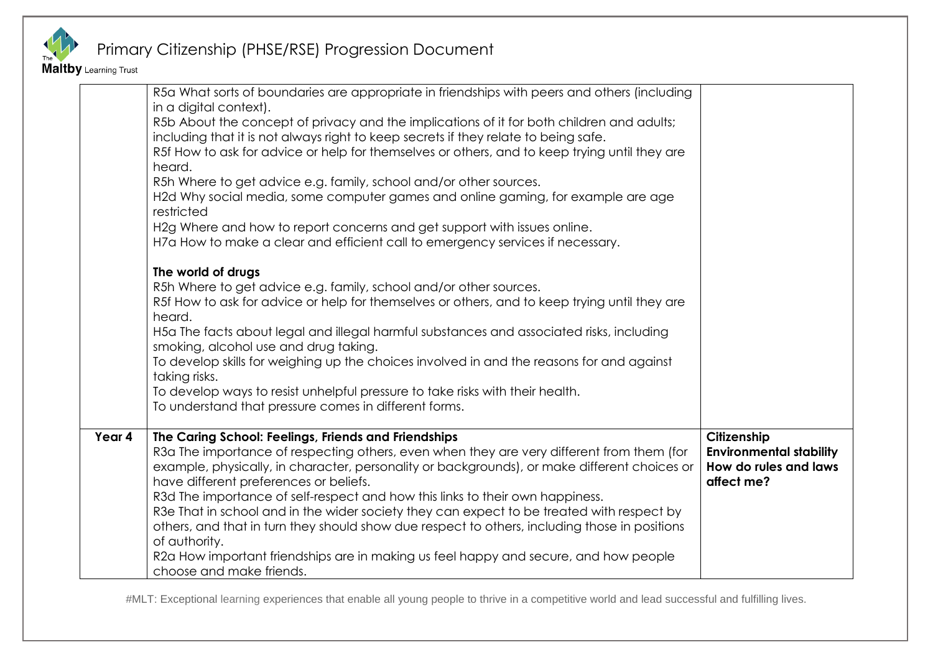

Maltby Learning Trust

|        | R5a What sorts of boundaries are appropriate in friendships with peers and others (including<br>in a digital context).<br>R5b About the concept of privacy and the implications of it for both children and adults;<br>including that it is not always right to keep secrets if they relate to being safe.<br>R5f How to ask for advice or help for themselves or others, and to keep trying until they are<br>heard.<br>R5h Where to get advice e.g. family, school and/or other sources.<br>H2d Why social media, some computer games and online gaming, for example are age<br>restricted<br>H2g Where and how to report concerns and get support with issues online.<br>H7a How to make a clear and efficient call to emergency services if necessary.<br>The world of drugs<br>R5h Where to get advice e.g. family, school and/or other sources.<br>R5f How to ask for advice or help for themselves or others, and to keep trying until they are<br>heard.<br>H5a The facts about legal and illegal harmful substances and associated risks, including<br>smoking, alcohol use and drug taking.<br>To develop skills for weighing up the choices involved in and the reasons for and against<br>taking risks.<br>To develop ways to resist unhelpful pressure to take risks with their health.<br>To understand that pressure comes in different forms. |                                                                                      |
|--------|---------------------------------------------------------------------------------------------------------------------------------------------------------------------------------------------------------------------------------------------------------------------------------------------------------------------------------------------------------------------------------------------------------------------------------------------------------------------------------------------------------------------------------------------------------------------------------------------------------------------------------------------------------------------------------------------------------------------------------------------------------------------------------------------------------------------------------------------------------------------------------------------------------------------------------------------------------------------------------------------------------------------------------------------------------------------------------------------------------------------------------------------------------------------------------------------------------------------------------------------------------------------------------------------------------------------------------------------------------------|--------------------------------------------------------------------------------------|
| Year 4 | The Caring School: Feelings, Friends and Friendships<br>R3a The importance of respecting others, even when they are very different from them (for<br>example, physically, in character, personality or backgrounds), or make different choices or<br>have different preferences or beliefs.<br>R3d The importance of self-respect and how this links to their own happiness.<br>R3e That in school and in the wider society they can expect to be treated with respect by<br>others, and that in turn they should show due respect to others, including those in positions<br>of authority.<br>R2a How important friendships are in making us feel happy and secure, and how people<br>choose and make friends.                                                                                                                                                                                                                                                                                                                                                                                                                                                                                                                                                                                                                                               | Citizenship<br><b>Environmental stability</b><br>How do rules and laws<br>affect me? |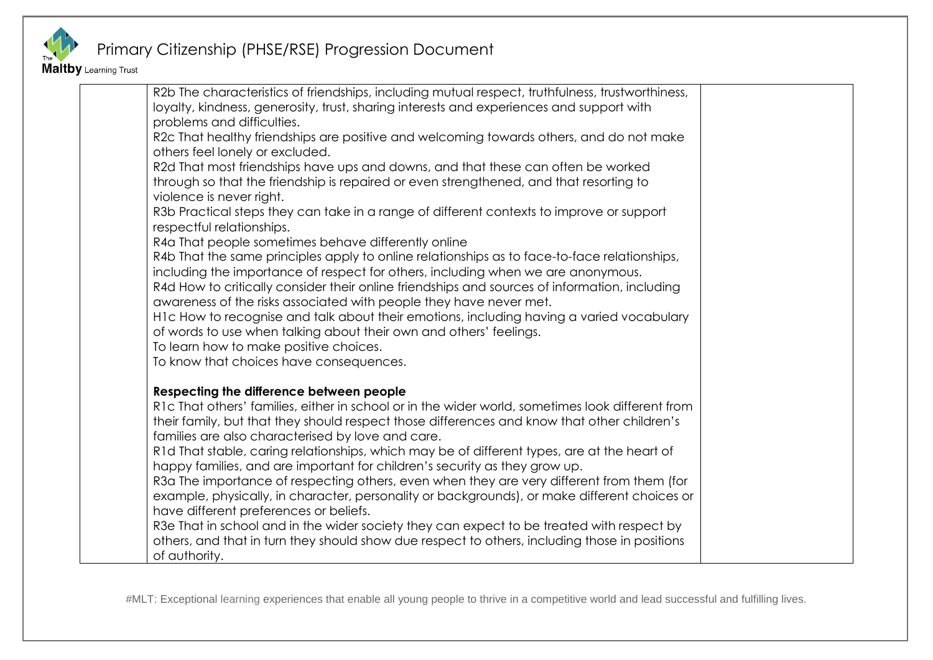

Maltby Learning Trust

| R2b The characteristics of friendships, including mutual respect, truthfulness, trustworthiness,<br>loyalty, kindness, generosity, trust, sharing interests and experiences and support with<br>problems and difficulties. |  |
|----------------------------------------------------------------------------------------------------------------------------------------------------------------------------------------------------------------------------|--|
| R2c That healthy friendships are positive and welcoming towards others, and do not make                                                                                                                                    |  |
| others feel lonely or excluded.                                                                                                                                                                                            |  |
| R2d That most friendships have ups and downs, and that these can often be worked                                                                                                                                           |  |
| through so that the friendship is repaired or even strengthened, and that resorting to<br>violence is never right.                                                                                                         |  |
| R3b Practical steps they can take in a range of different contexts to improve or support<br>respectful relationships.                                                                                                      |  |
| R4a That people sometimes behave differently online                                                                                                                                                                        |  |
| R4b That the same principles apply to online relationships as to face-to-face relationships,                                                                                                                               |  |
| including the importance of respect for others, including when we are anonymous.                                                                                                                                           |  |
| R4d How to critically consider their online friendships and sources of information, including                                                                                                                              |  |
| awareness of the risks associated with people they have never met.                                                                                                                                                         |  |
| H1c How to recognise and talk about their emotions, including having a varied vocabulary<br>of words to use when talking about their own and others' feelings.                                                             |  |
| To learn how to make positive choices.                                                                                                                                                                                     |  |
| To know that choices have consequences.                                                                                                                                                                                    |  |
|                                                                                                                                                                                                                            |  |
| Respecting the difference between people                                                                                                                                                                                   |  |
| R1c That others' families, either in school or in the wider world, sometimes look different from                                                                                                                           |  |
| their family, but that they should respect those differences and know that other children's                                                                                                                                |  |
| families are also characterised by love and care.                                                                                                                                                                          |  |
| R1d That stable, caring relationships, which may be of different types, are at the heart of                                                                                                                                |  |
| happy families, and are important for children's security as they grow up.<br>R3a The importance of respecting others, even when they are very different from them (for                                                    |  |
| example, physically, in character, personality or backgrounds), or make different choices or                                                                                                                               |  |
| have different preferences or beliefs.                                                                                                                                                                                     |  |
| R3e That in school and in the wider society they can expect to be treated with respect by                                                                                                                                  |  |
| others, and that in turn they should show due respect to others, including those in positions                                                                                                                              |  |
| of authority.                                                                                                                                                                                                              |  |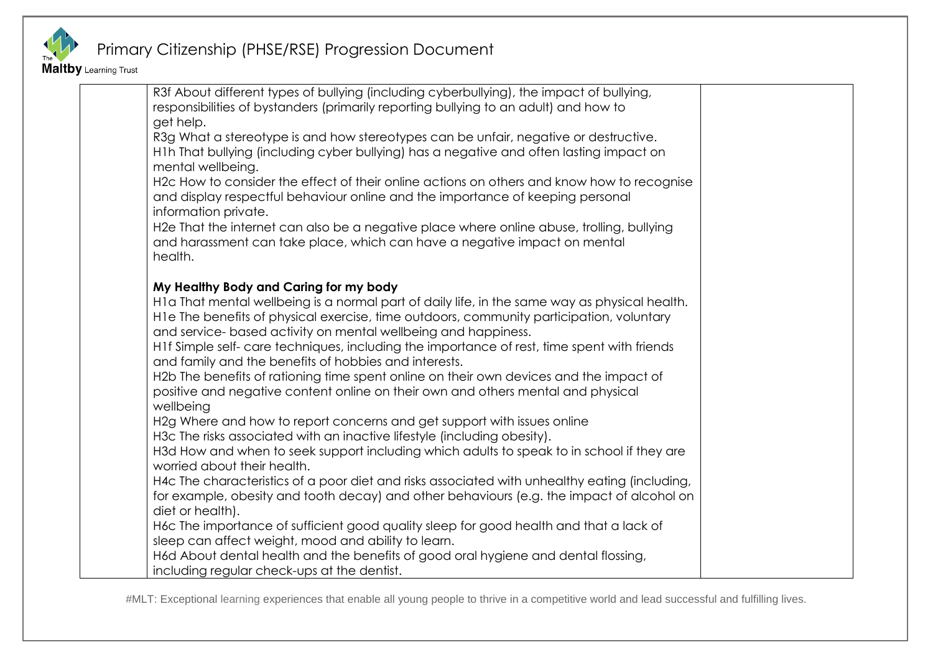

Maltby Learning Trust

| R3f About different types of bullying (including cyberbullying), the impact of bullying,                                     |  |
|------------------------------------------------------------------------------------------------------------------------------|--|
| responsibilities of bystanders (primarily reporting bullying to an adult) and how to                                         |  |
| get help.                                                                                                                    |  |
| R3g What a stereotype is and how stereotypes can be unfair, negative or destructive.                                         |  |
| H1h That bullying (including cyber bullying) has a negative and often lasting impact on<br>mental wellbeing.                 |  |
| H2c How to consider the effect of their online actions on others and know how to recognise                                   |  |
| and display respectful behaviour online and the importance of keeping personal                                               |  |
| information private.                                                                                                         |  |
| H2e That the internet can also be a negative place where online abuse, trolling, bullying                                    |  |
| and harassment can take place, which can have a negative impact on mental                                                    |  |
| health.                                                                                                                      |  |
|                                                                                                                              |  |
| My Healthy Body and Caring for my body                                                                                       |  |
| H1a That mental wellbeing is a normal part of daily life, in the same way as physical health.                                |  |
| H1e The benefits of physical exercise, time outdoors, community participation, voluntary                                     |  |
| and service- based activity on mental wellbeing and happiness.                                                               |  |
| H1f Simple self- care techniques, including the importance of rest, time spent with friends                                  |  |
| and family and the benefits of hobbies and interests.                                                                        |  |
| H2b The benefits of rationing time spent online on their own devices and the impact of                                       |  |
| positive and negative content online on their own and others mental and physical                                             |  |
| wellbeing                                                                                                                    |  |
| H2g Where and how to report concerns and get support with issues online                                                      |  |
| H3c The risks associated with an inactive lifestyle (including obesity).                                                     |  |
| H3d How and when to seek support including which adults to speak to in school if they are                                    |  |
| worried about their health.<br>H4c The characteristics of a poor diet and risks associated with unhealthy eating (including, |  |
| for example, obesity and tooth decay) and other behaviours (e.g. the impact of alcohol on                                    |  |
| diet or health).                                                                                                             |  |
| H6c The importance of sufficient good quality sleep for good health and that a lack of                                       |  |
| sleep can affect weight, mood and ability to learn.                                                                          |  |
| H6d About dental health and the benefits of good oral hygiene and dental flossing,                                           |  |
| including regular check-ups at the dentist.                                                                                  |  |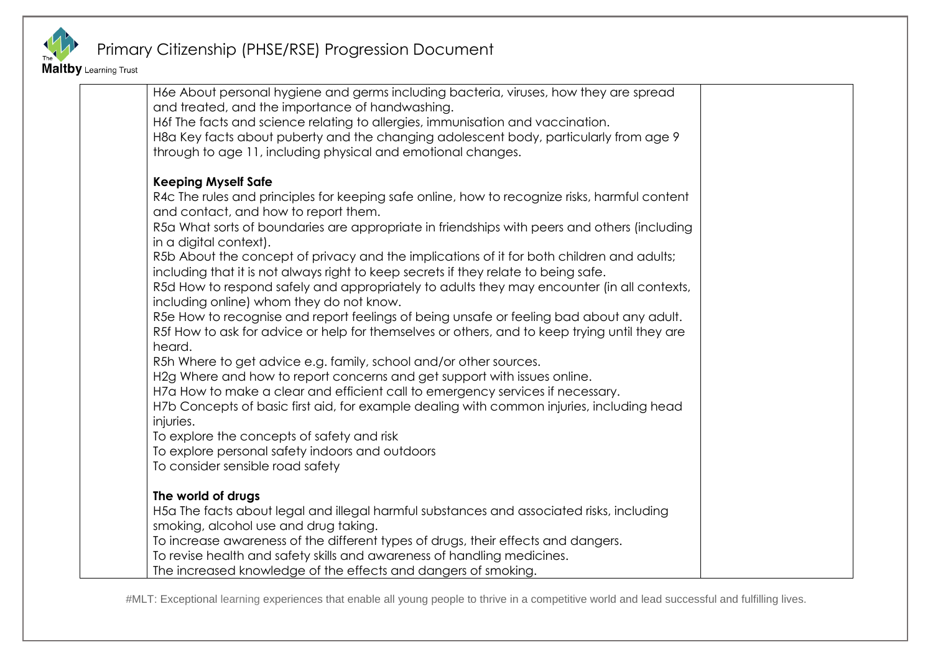

Maltby Learning Trust

| H6e About personal hygiene and germs including bacteria, viruses, how they are spread                                                 |  |
|---------------------------------------------------------------------------------------------------------------------------------------|--|
| and treated, and the importance of handwashing.                                                                                       |  |
| H6f The facts and science relating to allergies, immunisation and vaccination.                                                        |  |
| H8a Key facts about puberty and the changing adolescent body, particularly from age 9                                                 |  |
| through to age 11, including physical and emotional changes.                                                                          |  |
|                                                                                                                                       |  |
| <b>Keeping Myself Safe</b>                                                                                                            |  |
| R4c The rules and principles for keeping safe online, how to recognize risks, harmful content<br>and contact, and how to report them. |  |
| R5a What sorts of boundaries are appropriate in friendships with peers and others (including                                          |  |
| in a digital context).                                                                                                                |  |
| R5b About the concept of privacy and the implications of it for both children and adults;                                             |  |
| including that it is not always right to keep secrets if they relate to being safe.                                                   |  |
| R5d How to respond safely and appropriately to adults they may encounter (in all contexts,                                            |  |
| including online) whom they do not know.                                                                                              |  |
| R5e How to recognise and report feelings of being unsafe or feeling bad about any adult.                                              |  |
| R5f How to ask for advice or help for themselves or others, and to keep trying until they are                                         |  |
| heard.                                                                                                                                |  |
| R5h Where to get advice e.g. family, school and/or other sources.                                                                     |  |
| H2g Where and how to report concerns and get support with issues online.                                                              |  |
| H7a How to make a clear and efficient call to emergency services if necessary.                                                        |  |
| H7b Concepts of basic first aid, for example dealing with common injuries, including head                                             |  |
| injuries.                                                                                                                             |  |
| To explore the concepts of safety and risk                                                                                            |  |
| To explore personal safety indoors and outdoors                                                                                       |  |
| To consider sensible road safety                                                                                                      |  |
| The world of drugs                                                                                                                    |  |
| H5a The facts about legal and illegal harmful substances and associated risks, including                                              |  |
| smoking, alcohol use and drug taking.                                                                                                 |  |
| To increase awareness of the different types of drugs, their effects and dangers.                                                     |  |
| To revise health and safety skills and awareness of handling medicines.                                                               |  |
| The increased knowledge of the effects and dangers of smoking.                                                                        |  |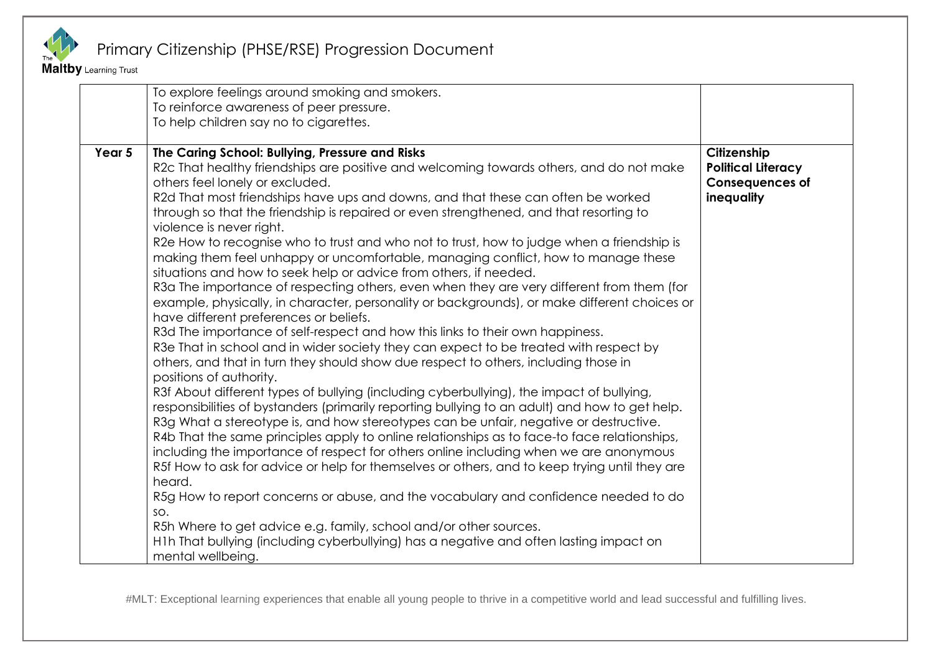

**Maltby** Learning Trust

|        | To explore feelings around smoking and smokers.<br>To reinforce awareness of peer pressure.<br>To help children say no to cigarettes.                                                                                                                                                                                                                                                                                                                                                                                                                                                                                                                                                                                                                                                                                                                                                                                                                                                                                                                                                                                                                                                                                                                                                                                                                                                                                                                                                                                                                                                                                                                                                                                                                                                                                                                                                                                                                                                                                                                          |                                                                                  |
|--------|----------------------------------------------------------------------------------------------------------------------------------------------------------------------------------------------------------------------------------------------------------------------------------------------------------------------------------------------------------------------------------------------------------------------------------------------------------------------------------------------------------------------------------------------------------------------------------------------------------------------------------------------------------------------------------------------------------------------------------------------------------------------------------------------------------------------------------------------------------------------------------------------------------------------------------------------------------------------------------------------------------------------------------------------------------------------------------------------------------------------------------------------------------------------------------------------------------------------------------------------------------------------------------------------------------------------------------------------------------------------------------------------------------------------------------------------------------------------------------------------------------------------------------------------------------------------------------------------------------------------------------------------------------------------------------------------------------------------------------------------------------------------------------------------------------------------------------------------------------------------------------------------------------------------------------------------------------------------------------------------------------------------------------------------------------------|----------------------------------------------------------------------------------|
| Year 5 | The Caring School: Bullying, Pressure and Risks<br>R2c That healthy friendships are positive and welcoming towards others, and do not make<br>others feel lonely or excluded.<br>R2d That most friendships have ups and downs, and that these can often be worked<br>through so that the friendship is repaired or even strengthened, and that resorting to<br>violence is never right.<br>R2e How to recognise who to trust and who not to trust, how to judge when a friendship is<br>making them feel unhappy or uncomfortable, managing conflict, how to manage these<br>situations and how to seek help or advice from others, if needed.<br>R3a The importance of respecting others, even when they are very different from them (for<br>example, physically, in character, personality or backgrounds), or make different choices or<br>have different preferences or beliefs.<br>R3d The importance of self-respect and how this links to their own happiness.<br>R3e That in school and in wider society they can expect to be treated with respect by<br>others, and that in turn they should show due respect to others, including those in<br>positions of authority.<br>R3f About different types of bullying (including cyberbullying), the impact of bullying,<br>responsibilities of bystanders (primarily reporting bullying to an adult) and how to get help.<br>R3g What a stereotype is, and how stereotypes can be unfair, negative or destructive.<br>R4b That the same principles apply to online relationships as to face-to face relationships,<br>including the importance of respect for others online including when we are anonymous<br>R5f How to ask for advice or help for themselves or others, and to keep trying until they are<br>heard.<br>R5g How to report concerns or abuse, and the vocabulary and confidence needed to do<br>SO.<br>R5h Where to get advice e.g. family, school and/or other sources.<br>H1h That bullying (including cyberbullying) has a negative and often lasting impact on<br>mental wellbeing. | Citizenship<br><b>Political Literacy</b><br><b>Consequences of</b><br>inequality |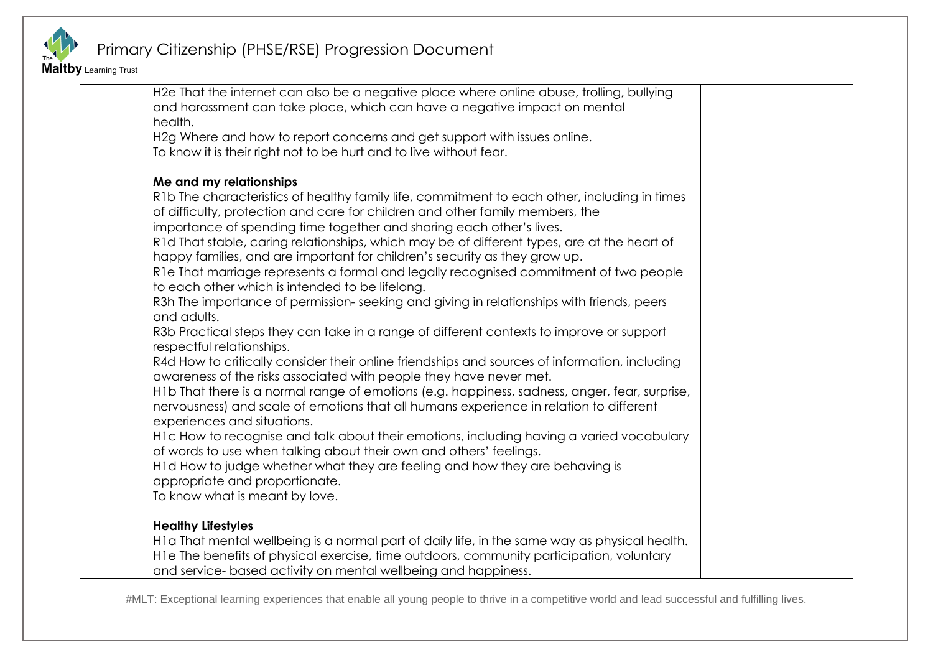

Maltby Learning Trust

| H2e That the internet can also be a negative place where online abuse, trolling, bullying     |  |
|-----------------------------------------------------------------------------------------------|--|
| and harassment can take place, which can have a negative impact on mental                     |  |
| health.                                                                                       |  |
| H2g Where and how to report concerns and get support with issues online.                      |  |
| To know it is their right not to be hurt and to live without fear.                            |  |
| Me and my relationships                                                                       |  |
| R1b The characteristics of healthy family life, commitment to each other, including in times  |  |
| of difficulty, protection and care for children and other family members, the                 |  |
| importance of spending time together and sharing each other's lives.                          |  |
| R1d That stable, caring relationships, which may be of different types, are at the heart of   |  |
| happy families, and are important for children's security as they grow up.                    |  |
| R1e That marriage represents a formal and legally recognised commitment of two people         |  |
| to each other which is intended to be lifelong.                                               |  |
| R3h The importance of permission-seeking and giving in relationships with friends, peers      |  |
| and adults.                                                                                   |  |
| R3b Practical steps they can take in a range of different contexts to improve or support      |  |
| respectful relationships.                                                                     |  |
| R4d How to critically consider their online friendships and sources of information, including |  |
| awareness of the risks associated with people they have never met.                            |  |
| H1b That there is a normal range of emotions (e.g. happiness, sadness, anger, fear, surprise, |  |
| nervousness) and scale of emotions that all humans experience in relation to different        |  |
| experiences and situations.                                                                   |  |
| H1c How to recognise and talk about their emotions, including having a varied vocabulary      |  |
| of words to use when talking about their own and others' feelings.                            |  |
| H1d How to judge whether what they are feeling and how they are behaving is                   |  |
| appropriate and proportionate.                                                                |  |
| To know what is meant by love.                                                                |  |
| <b>Healthy Lifestyles</b>                                                                     |  |
| H1a That mental wellbeing is a normal part of daily life, in the same way as physical health. |  |
| H1e The benefits of physical exercise, time outdoors, community participation, voluntary      |  |
| and service- based activity on mental wellbeing and happiness.                                |  |
|                                                                                               |  |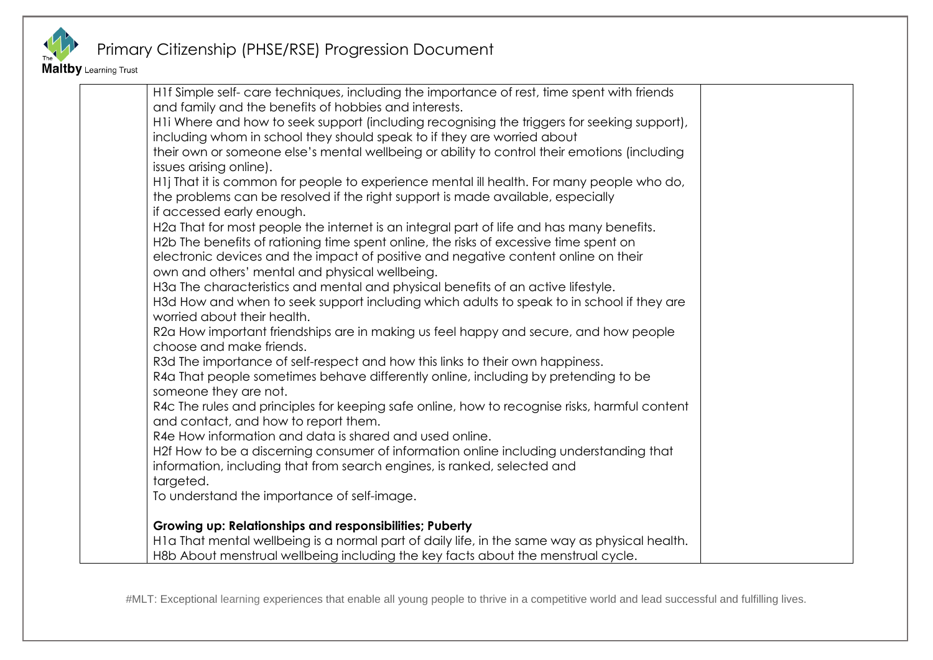

Maltby Learning Trust

| H1f Simple self- care techniques, including the importance of rest, time spent with friends   |  |
|-----------------------------------------------------------------------------------------------|--|
| and family and the benefits of hobbies and interests.                                         |  |
| H1i Where and how to seek support (including recognising the triggers for seeking support),   |  |
| including whom in school they should speak to if they are worried about                       |  |
| their own or someone else's mental wellbeing or ability to control their emotions (including  |  |
| issues arising online).                                                                       |  |
| H1j That it is common for people to experience mental ill health. For many people who do,     |  |
| the problems can be resolved if the right support is made available, especially               |  |
| if accessed early enough.                                                                     |  |
| H2a That for most people the internet is an integral part of life and has many benefits.      |  |
| H2b The benefits of rationing time spent online, the risks of excessive time spent on         |  |
| electronic devices and the impact of positive and negative content online on their            |  |
| own and others' mental and physical wellbeing.                                                |  |
| H3a The characteristics and mental and physical benefits of an active lifestyle.              |  |
| H3d How and when to seek support including which adults to speak to in school if they are     |  |
| worried about their health.                                                                   |  |
| R2a How important friendships are in making us feel happy and secure, and how people          |  |
| choose and make friends.                                                                      |  |
| R3d The importance of self-respect and how this links to their own happiness.                 |  |
| R4a That people sometimes behave differently online, including by pretending to be            |  |
| someone they are not.                                                                         |  |
| R4c The rules and principles for keeping safe online, how to recognise risks, harmful content |  |
| and contact, and how to report them.                                                          |  |
| R4e How information and data is shared and used online.                                       |  |
| H2f How to be a discerning consumer of information online including understanding that        |  |
| information, including that from search engines, is ranked, selected and                      |  |
| targeted.                                                                                     |  |
| To understand the importance of self-image.                                                   |  |
| Growing up: Relationships and responsibilities; Puberty                                       |  |
| H1a That mental wellbeing is a normal part of daily life, in the same way as physical health. |  |
| H8b About menstrual wellbeing including the key facts about the menstrual cycle.              |  |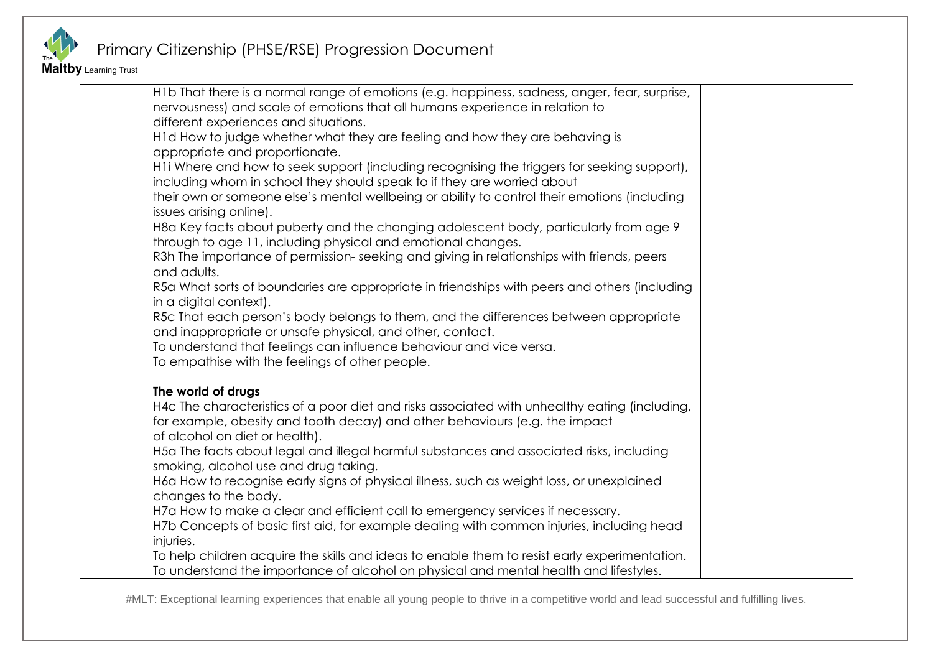

Maltby Learning Trust

| H1b That there is a normal range of emotions (e.g. happiness, sadness, anger, fear, surprise, |  |
|-----------------------------------------------------------------------------------------------|--|
| nervousness) and scale of emotions that all humans experience in relation to                  |  |
| different experiences and situations.                                                         |  |
| H1d How to judge whether what they are feeling and how they are behaving is                   |  |
| appropriate and proportionate.                                                                |  |
| H1i Where and how to seek support (including recognising the triggers for seeking support),   |  |
| including whom in school they should speak to if they are worried about                       |  |
| their own or someone else's mental wellbeing or ability to control their emotions (including  |  |
| issues arising online).                                                                       |  |
| H8a Key facts about puberty and the changing adolescent body, particularly from age 9         |  |
| through to age 11, including physical and emotional changes.                                  |  |
| R3h The importance of permission-seeking and giving in relationships with friends, peers      |  |
| and adults.                                                                                   |  |
| R5a What sorts of boundaries are appropriate in friendships with peers and others (including  |  |
| in a digital context).                                                                        |  |
| R5c That each person's body belongs to them, and the differences between appropriate          |  |
| and inappropriate or unsafe physical, and other, contact.                                     |  |
| To understand that feelings can influence behaviour and vice versa.                           |  |
| To empathise with the feelings of other people.                                               |  |
|                                                                                               |  |
| The world of drugs                                                                            |  |
| H4c The characteristics of a poor diet and risks associated with unhealthy eating (including, |  |
| for example, obesity and tooth decay) and other behaviours (e.g. the impact                   |  |
| of alcohol on diet or health).                                                                |  |
| H5a The facts about legal and illegal harmful substances and associated risks, including      |  |
| smoking, alcohol use and drug taking.                                                         |  |
| H6a How to recognise early signs of physical illness, such as weight loss, or unexplained     |  |
| changes to the body.                                                                          |  |
| H7a How to make a clear and efficient call to emergency services if necessary.                |  |
| H7b Concepts of basic first aid, for example dealing with common injuries, including head     |  |
| injuries.                                                                                     |  |
| To help children acquire the skills and ideas to enable them to resist early experimentation. |  |
| To understand the importance of alcohol on physical and mental health and lifestyles.         |  |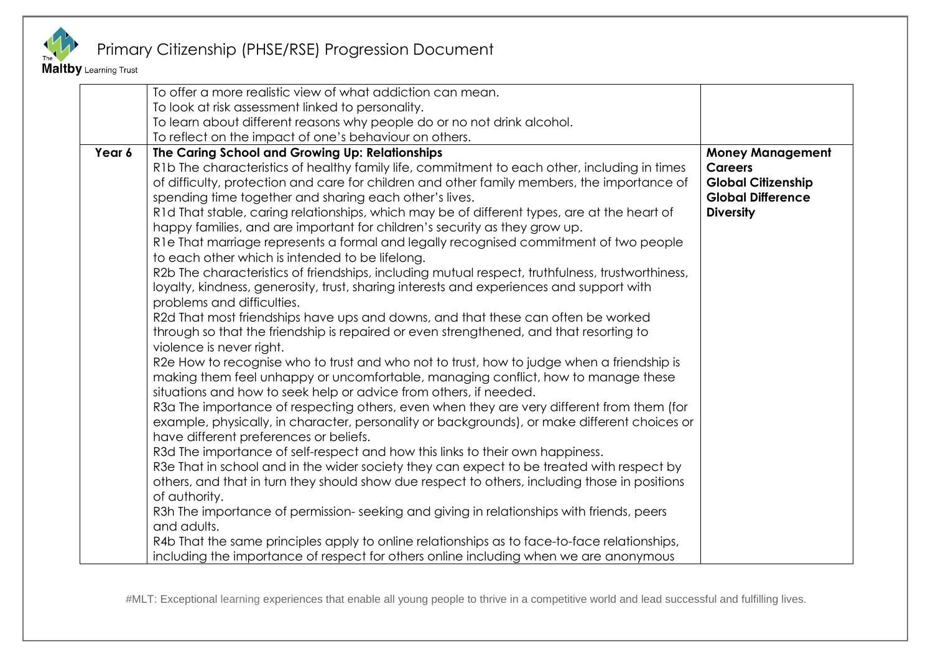

#### Maltby Learning Trust

|        | To offer a more realistic view of what addiction can mean.<br>To look at risk assessment linked to personality.<br>To learn about different reasons why people do or no not drink alcohol.<br>To reflect on the impact of one's behaviour on others.                                                                                                                                                                                                                                                                                                                                                                                                                                                                                                                                                                                                                                                                                                                                                                                                                                                                                                                                                                                                                                                                                                                                                                                                                                                                                                                                                                                                                                                                                                                                                                                                                                                                                                                                                                                                                                                                                                                        |                                                                                                                        |
|--------|-----------------------------------------------------------------------------------------------------------------------------------------------------------------------------------------------------------------------------------------------------------------------------------------------------------------------------------------------------------------------------------------------------------------------------------------------------------------------------------------------------------------------------------------------------------------------------------------------------------------------------------------------------------------------------------------------------------------------------------------------------------------------------------------------------------------------------------------------------------------------------------------------------------------------------------------------------------------------------------------------------------------------------------------------------------------------------------------------------------------------------------------------------------------------------------------------------------------------------------------------------------------------------------------------------------------------------------------------------------------------------------------------------------------------------------------------------------------------------------------------------------------------------------------------------------------------------------------------------------------------------------------------------------------------------------------------------------------------------------------------------------------------------------------------------------------------------------------------------------------------------------------------------------------------------------------------------------------------------------------------------------------------------------------------------------------------------------------------------------------------------------------------------------------------------|------------------------------------------------------------------------------------------------------------------------|
| Year 6 | The Caring School and Growing Up: Relationships<br>R1b The characteristics of healthy family life, commitment to each other, including in times<br>of difficulty, protection and care for children and other family members, the importance of<br>spending time together and sharing each other's lives.<br>R1d That stable, caring relationships, which may be of different types, are at the heart of<br>happy families, and are important for children's security as they grow up.<br>R1e That marriage represents a formal and legally recognised commitment of two people<br>to each other which is intended to be lifelong.<br>R2b The characteristics of friendships, including mutual respect, truthfulness, trustworthiness,<br>loyalty, kindness, generosity, trust, sharing interests and experiences and support with<br>problems and difficulties.<br>R2d That most friendships have ups and downs, and that these can often be worked<br>through so that the friendship is repaired or even strengthened, and that resorting to<br>violence is never right.<br>R2e How to recognise who to trust and who not to trust, how to judge when a friendship is<br>making them feel unhappy or uncomfortable, managing conflict, how to manage these<br>situations and how to seek help or advice from others, if needed.<br>R3a The importance of respecting others, even when they are very different from them (for<br>example, physically, in character, personality or backgrounds), or make different choices or<br>have different preferences or beliefs.<br>R3d The importance of self-respect and how this links to their own happiness.<br>R3e That in school and in the wider society they can expect to be treated with respect by<br>others, and that in turn they should show due respect to others, including those in positions<br>of authority.<br>R3h The importance of permission-seeking and giving in relationships with friends, peers<br>and adults.<br>R4b That the same principles apply to online relationships as to face-to-face relationships,<br>including the importance of respect for others online including when we are anonymous | <b>Money Management</b><br><b>Careers</b><br><b>Global Citizenship</b><br><b>Global Difference</b><br><b>Diversity</b> |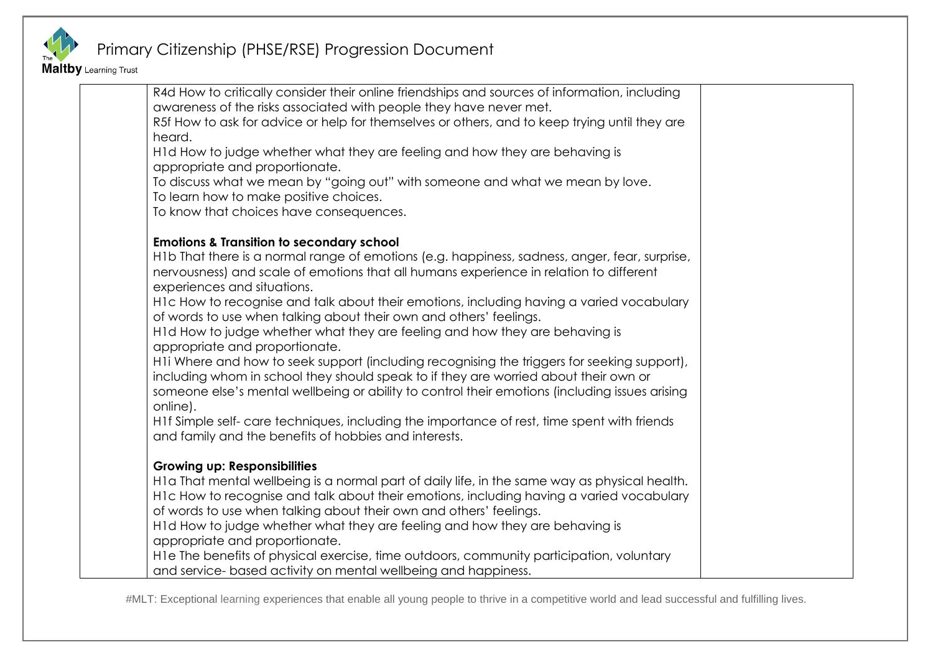

Maltby Learning Trust

| R4d How to critically consider their online friendships and sources of information, including  |  |
|------------------------------------------------------------------------------------------------|--|
| awareness of the risks associated with people they have never met.                             |  |
| R5f How to ask for advice or help for themselves or others, and to keep trying until they are  |  |
| heard.                                                                                         |  |
| H1d How to judge whether what they are feeling and how they are behaving is                    |  |
| appropriate and proportionate.                                                                 |  |
| To discuss what we mean by "going out" with someone and what we mean by love.                  |  |
| To learn how to make positive choices.                                                         |  |
| To know that choices have consequences.                                                        |  |
| <b>Emotions &amp; Transition to secondary school</b>                                           |  |
| H1b That there is a normal range of emotions (e.g. happiness, sadness, anger, fear, surprise,  |  |
| nervousness) and scale of emotions that all humans experience in relation to different         |  |
| experiences and situations.                                                                    |  |
| H1c How to recognise and talk about their emotions, including having a varied vocabulary       |  |
| of words to use when talking about their own and others' feelings.                             |  |
| H1d How to judge whether what they are feeling and how they are behaving is                    |  |
| appropriate and proportionate.                                                                 |  |
| H1i Where and how to seek support (including recognising the triggers for seeking support),    |  |
| including whom in school they should speak to if they are worried about their own or           |  |
| someone else's mental wellbeing or ability to control their emotions (including issues arising |  |
| online).                                                                                       |  |
| H1f Simple self- care techniques, including the importance of rest, time spent with friends    |  |
| and family and the benefits of hobbies and interests.                                          |  |
|                                                                                                |  |
| <b>Growing up: Responsibilities</b>                                                            |  |
| H1a That mental wellbeing is a normal part of daily life, in the same way as physical health.  |  |
| H1c How to recognise and talk about their emotions, including having a varied vocabulary       |  |
| of words to use when talking about their own and others' feelings.                             |  |
| H1d How to judge whether what they are feeling and how they are behaving is                    |  |
| appropriate and proportionate.                                                                 |  |
| H1e The benefits of physical exercise, time outdoors, community participation, voluntary       |  |
| and service- based activity on mental wellbeing and happiness.                                 |  |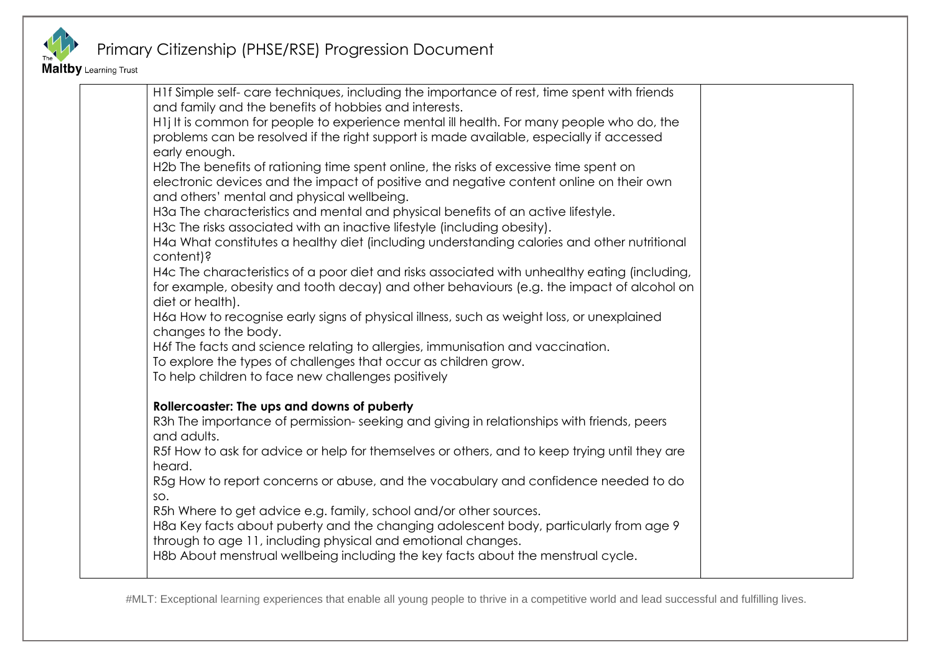

Maltby Learning Trust

| H1f Simple self- care techniques, including the importance of rest, time spent with friends              |  |
|----------------------------------------------------------------------------------------------------------|--|
| and family and the benefits of hobbies and interests.                                                    |  |
| H1j It is common for people to experience mental ill health. For many people who do, the                 |  |
| problems can be resolved if the right support is made available, especially if accessed                  |  |
| early enough.                                                                                            |  |
| H2b The benefits of rationing time spent online, the risks of excessive time spent on                    |  |
| electronic devices and the impact of positive and negative content online on their own                   |  |
| and others' mental and physical wellbeing.                                                               |  |
| H3a The characteristics and mental and physical benefits of an active lifestyle.                         |  |
| H3c The risks associated with an inactive lifestyle (including obesity).                                 |  |
| H4a What constitutes a healthy diet (including understanding calories and other nutritional<br>content)? |  |
| H4c The characteristics of a poor diet and risks associated with unhealthy eating (including,            |  |
| for example, obesity and tooth decay) and other behaviours (e.g. the impact of alcohol on                |  |
| diet or health).                                                                                         |  |
| H6a How to recognise early signs of physical illness, such as weight loss, or unexplained                |  |
| changes to the body.                                                                                     |  |
| H6f The facts and science relating to allergies, immunisation and vaccination.                           |  |
| To explore the types of challenges that occur as children grow.                                          |  |
| To help children to face new challenges positively                                                       |  |
|                                                                                                          |  |
| Rollercoaster: The ups and downs of puberty                                                              |  |
| R3h The importance of permission-seeking and giving in relationships with friends, peers                 |  |
| and adults.                                                                                              |  |
| R5f How to ask for advice or help for themselves or others, and to keep trying until they are            |  |
| heard.                                                                                                   |  |
| R5g How to report concerns or abuse, and the vocabulary and confidence needed to do                      |  |
| SO.                                                                                                      |  |
| R5h Where to get advice e.g. family, school and/or other sources.                                        |  |
| H8a Key facts about puberty and the changing adolescent body, particularly from age 9                    |  |
| through to age 11, including physical and emotional changes.                                             |  |
| H8b About menstrual wellbeing including the key facts about the menstrual cycle.                         |  |
|                                                                                                          |  |
|                                                                                                          |  |